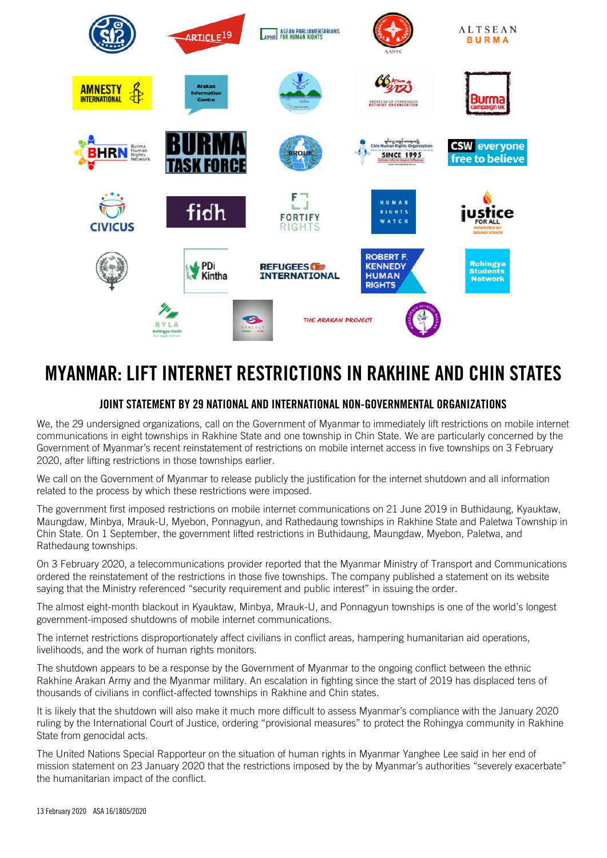

## MYANMAR: LIFT INTERNET RESTRICTIONS IN RAKHINE AND CHIN STATES

## JOINT STATEMENT BY 29 NATIONAL AND INTERNATIONAL NON-GOVERNMENTAL ORGANIZATIONS

We, the 29 undersigned organizations, call on the Government of Myanmar to immediately lift restrictions on mobile internet communications in eight townships in Rakhine State and one township in Chin State. We are particularly concerned by the Government of Myanmar's recent reinstatement of restrictions on mobile internet access in five townships on 3 February 2020, after lifting restrictions in those townships earlier.

We call on the Government of Myanmar to release publicly the justification for the internet shutdown and all information related to the process by which these restrictions were imposed.

The government first imposed restrictions on mobile internet communications on 21 June 2019 in Buthidaung, Kyauktaw, Maungdaw, Minbya, Mrauk-U, Myebon, Ponnagyun, and Rathedaung townships in Rakhine State and Paletwa Township in Chin State. On 1 September, the government lifted restrictions in Buthidaung, Maungdaw, Myebon, Paletwa, and Rathedaung townships.

On 3 February 2020, a telecommunications provider reported that the Myanmar Ministry of Transport and Communications ordered the reinstatement of the restrictions in those five townships. The company published a statement on its website saying that the Ministry referenced "security requirement and public interest" in issuing the order.

The almost eight-month blackout in Kyauktaw, Minbya, Mrauk-U, and Ponnagyun townships is one of the world's longest government-imposed shutdowns of mobile internet communications.

The internet restrictions disproportionately affect civilians in conflict areas, hampering humanitarian aid operations, livelihoods, and the work of human rights monitors.

The shutdown appears to be a response by the Government of Myanmar to the ongoing conflict between the ethnic Rakhine Arakan Army and the Myanmar military. An escalation in fighting since the start of 2019 has displaced tens of thousands of civilians in conflict-affected townships in Rakhine and Chin states.

It is likely that the shutdown will also make it much more difficult to assess Myanmar's compliance with the January 2020 ruling by the International Court of Justice, ordering "provisional measures" to protect the Rohingya community in Rakhine State from genocidal acts.

The United Nations Special Rapporteur on the situation of human rights in Myanmar Yanghee Lee said in her end of mission statement on 23 January 2020 that the restrictions imposed by the by Myanmar's authorities "severely exacerbate" the humanitarian impact of the conflict.